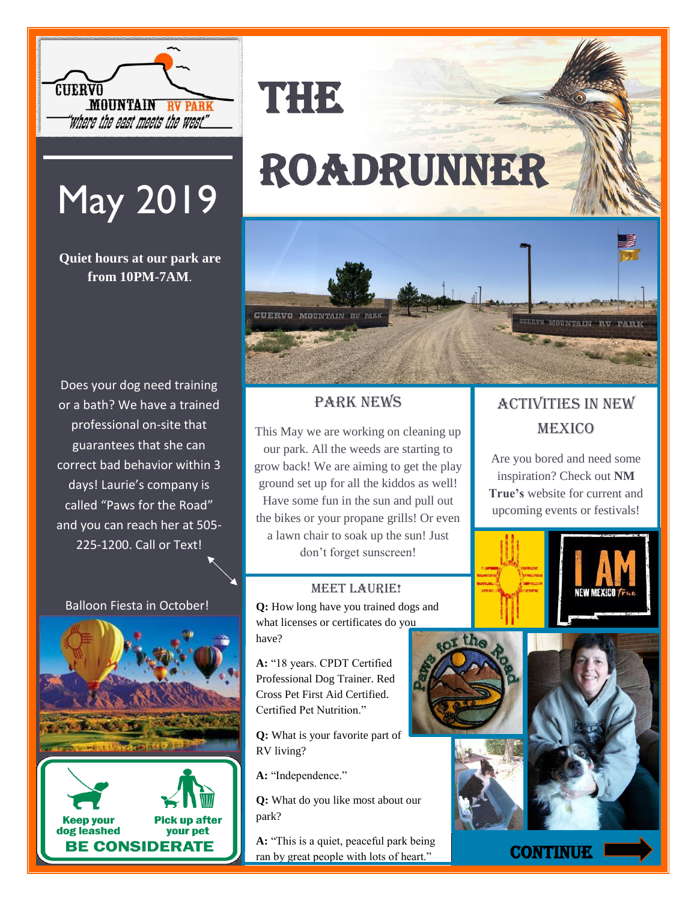

## May 2019

**Quiet hours at our park are from 10PM-7AM**.

Does your dog need training or a bath? We have a trained professional on-site that guarantees that she can correct bad behavior within 3 days! Laurie's company is called "Paws for the Road" and you can reach her at 505- 225-1200. Call or Text!

#### Balloon Fiesta in October!



**Keep your Pick up after** dog leashed your pet **BE CONSIDERATE** 

# Roadrunner

THE



Park News

This May we are working on cleaning up our park. All the weeds are starting to grow back! We are aiming to get the play ground set up for all the kiddos as well! Have some fun in the sun and pull out the bikes or your propane grills! Or even a lawn chair to soak up the sun! Just don't forget sunscreen!

#### **MEET LAURIE!**

**Q:** How long have you trained dogs and what licenses or certificates do you have?

**A:** "18 years. CPDT Certified Professional Dog Trainer. Red Cross Pet First Aid Certified. Certified Pet Nutrition."

**Q:** What is your favorite part of RV living?

**A:** "Independence."

**Q:** What do you like most about our park?

**A:** "This is a quiet, peaceful park being ran by great people with lots of heart."

### Activities in New **MEXICO**

Are you bored and need some inspiration? Check out **NM True's** website for current and upcoming events or festivals!









**CONTINUE**